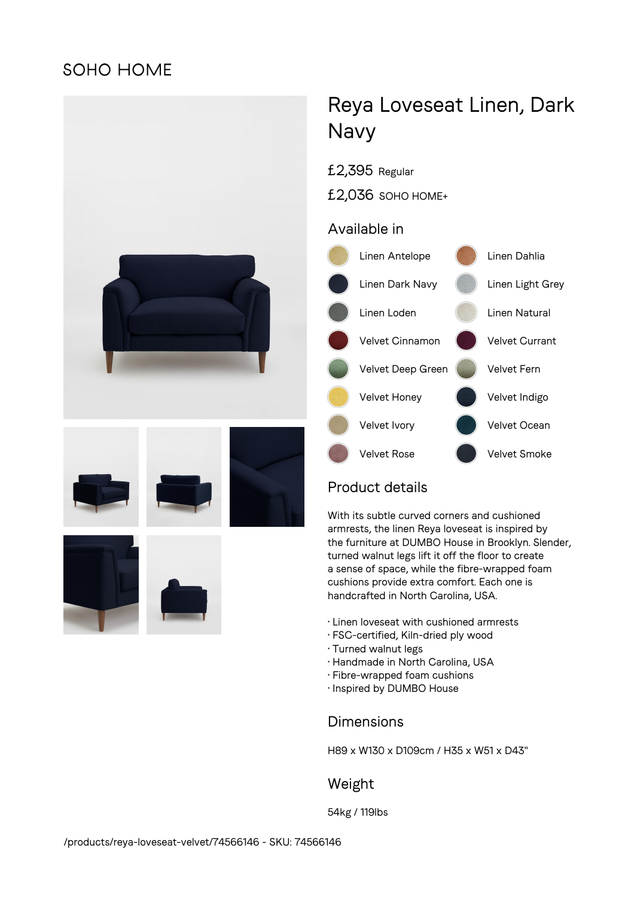## **SOHO HOME**



# Reya Loveseat Linen, Dark Navy

- £2,395 Regular
- £2,036 SOHO HOME+

## Available in



## Product details

With its subtle curved corners and cushioned armrests, the linen Reya loveseat is inspired by the furniture at DUMBO House in Brooklyn. Slender, turned walnut legs lift it off the floor to create a sense of space, while the fibre-wrapped foam cushions provide extra comfort. Each one is handcrafted in North Carolina, USA.

- Linen loveseat with cushioned armrests
- FSC-certified, Kiln-dried ply wood
- Turned walnut legs
- Handmade in North Carolina, USA
- Fibre-wrapped foam cushions
- Inspired by DUMBO House

## Dimensions

H89 x W130 x D109cm / H35 x W51 x D43"

## Weight

54kg / 119lbs